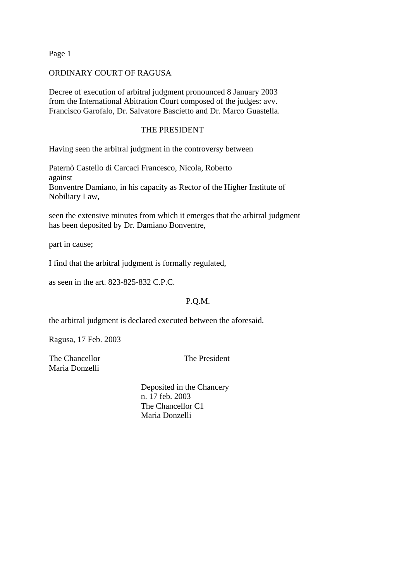Page 1

## ORDINARY COURT OF RAGUSA

Decree of execution of arbitral judgment pronounced 8 January 2003 from the International Abitration Court composed of the judges: avv. Francisco Garofalo, Dr. Salvatore Bascietto and Dr. Marco Guastella.

## THE PRESIDENT

Having seen the arbitral judgment in the controversy between

Paternò Castello di Carcaci Francesco, Nicola, Roberto against Bonventre Damiano, in his capacity as Rector of the Higher Institute of Nobiliary Law,

seen the extensive minutes from which it emerges that the arbitral judgment has been deposited by Dr. Damiano Bonventre,

part in cause;

I find that the arbitral judgment is formally regulated,

as seen in the art. 823-825-832 C.P.C.

## P.Q.M.

the arbitral judgment is declared executed between the aforesaid.

Ragusa, 17 Feb. 2003

The Chancellor The President Maria Donzelli

 Deposited in the Chancery n. 17 feb. 2003 The Chancellor C1 Maria Donzelli